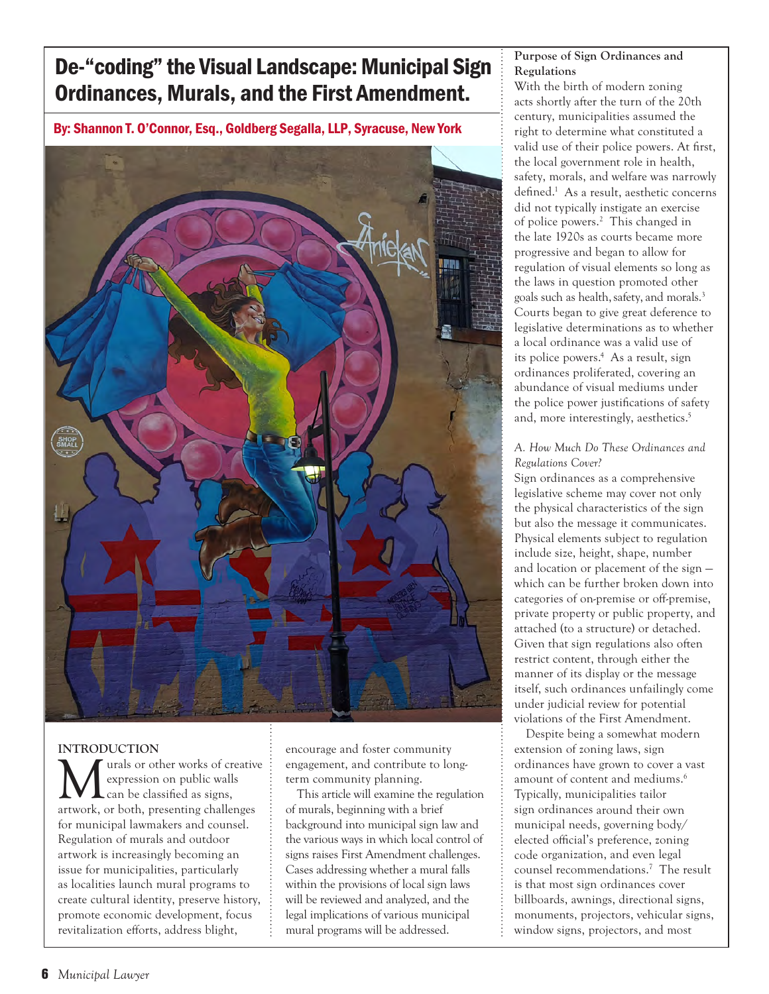# De-"coding" the Visual Landscape: Municipal Sign Ordinances, Murals, and the First Amendment.

By: Shannon T. O'Connor, Esq., Goldberg Segalla, LLP, Syracuse, New York



# **INTRODUCTION**

urals or other works of creative expression on public walls can be classified as signs, artwork, or both, presenting challenges for municipal lawmakers and counsel. Regulation of murals and outdoor artwork is increasingly becoming an issue for municipalities, particularly as localities launch mural programs to create cultural identity, preserve history, promote economic development, focus revitalization efforts, address blight,

encourage and foster community engagement, and contribute to longterm community planning.

This article will examine the regulation of murals, beginning with a brief background into municipal sign law and the various ways in which local control of signs raises First Amendment challenges. Cases addressing whether a mural falls within the provisions of local sign laws will be reviewed and analyzed, and the legal implications of various municipal mural programs will be addressed.

# **Purpose of Sign Ordinances and Regulations**

With the birth of modern zoning acts shortly after the turn of the 20th century, municipalities assumed the right to determine what constituted a valid use of their police powers. At first, the local government role in health, safety, morals, and welfare was narrowly defined.<sup>1</sup> As a result, aesthetic concerns did not typically instigate an exercise of police powers.<sup>2</sup> This changed in the late 1920s as courts became more progressive and began to allow for regulation of visual elements so long as the laws in question promoted other goals such as health, safety, and morals.<sup>3</sup> Courts began to give great deference to legislative determinations as to whether a local ordinance was a valid use of its police powers.<sup>4</sup> As a result, sign ordinances proliferated, covering an abundance of visual mediums under the police power justifications of safety and, more interestingly, aesthetics.<sup>5</sup>

## *A. How Much Do These Ordinances and Regulations Cover?*

Sign ordinances as a comprehensive legislative scheme may cover not only the physical characteristics of the sign but also the message it communicates. Physical elements subject to regulation include size, height, shape, number and location or placement of the sign which can be further broken down into categories of on-premise or off-premise, private property or public property, and attached (to a structure) or detached. Given that sign regulations also often restrict content, through either the manner of its display or the message itself, such ordinances unfailingly come under judicial review for potential violations of the First Amendment.

Despite being a somewhat modern extension of zoning laws, sign ordinances have grown to cover a vast amount of content and mediums.<sup>6</sup> Typically, municipalities tailor sign ordinances around their own municipal needs, governing body/ elected official's preference, zoning code organization, and even legal counsel recommendations.7 The result is that most sign ordinances cover billboards, awnings, directional signs, monuments, projectors, vehicular signs, window signs, projectors, and most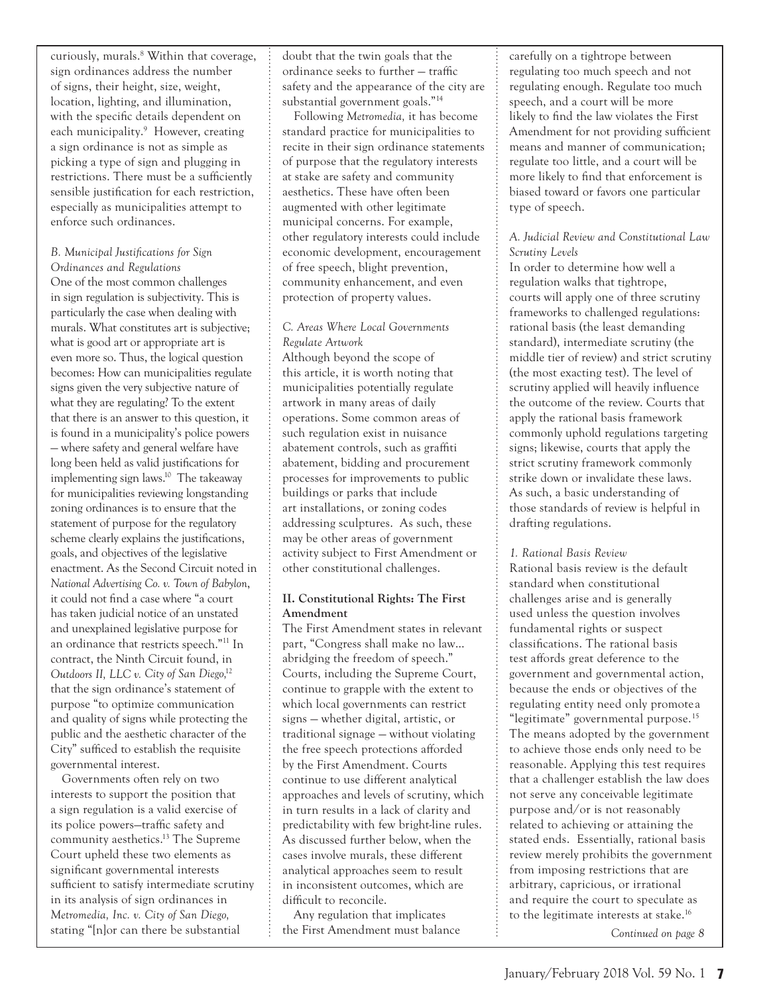curiously, murals.<sup>8</sup> Within that coverage, sign ordinances address the number of signs, their height, size, weight, location, lighting, and illumination, with the specific details dependent on each municipality.<sup>9</sup> However, creating a sign ordinance is not as simple as picking a type of sign and plugging in restrictions. There must be a sufficiently sensible justification for each restriction, especially as municipalities attempt to enforce such ordinances.

# *B. Municipal Justifications for Sign*

*Ordinances and Regulations* One of the most common challenges in sign regulation is subjectivity. This is particularly the case when dealing with murals. What constitutes art is subjective; what is good art or appropriate art is even more so. Thus, the logical question becomes: How can municipalities regulate signs given the very subjective nature of what they are regulating? To the extent that there is an answer to this question, it is found in a municipality's police powers — where safety and general welfare have long been held as valid justifications for implementing sign laws.<sup>10</sup> The takeaway for municipalities reviewing longstanding zoning ordinances is to ensure that the statement of purpose for the regulatory scheme clearly explains the justifications, goals, and objectives of the legislative enactment. As the Second Circuit noted in *National Advertising Co. v. Town of Babylon*, it could not find a case where "a court has taken judicial notice of an unstated and unexplained legislative purpose for an ordinance that restricts speech."11 In contract, the Ninth Circuit found, in *Outdoors II, LLC v. City of San Diego,*<sup>12</sup> that the sign ordinance's statement of purpose "to optimize communication and quality of signs while protecting the public and the aesthetic character of the City" sufficed to establish the requisite governmental interest.

Governments often rely on two interests to support the position that a sign regulation is a valid exercise of its police powers—traffic safety and community aesthetics. 13 The Supreme Court upheld these two elements as significant governmental interests sufficient to satisfy intermediate scrutiny in its analysis of sign ordinances in *Metromedia, Inc. v. City of San Diego,* stating "[n]or can there be substantial

doubt that the twin goals that the ordinance seeks to further — traffic safety and the appearance of the city are substantial government goals." 14

Following *Metromedia,* it has become standard practice for municipalities to recite in their sign ordinance statements of purpose that the regulatory interests at stake are safety and community aesthetics. These have often been augmented with other legitimate municipal concerns. For example, other regulatory interests could include economic development, encouragement of free speech, blight prevention, community enhancement, and even protection of property values.

#### *C. Areas Where Local Governments Regulate Artwork*

Although beyond the scope of this article, it is worth noting that municipalities potentially regulate artwork in many areas of daily operations. Some common areas of such regulation exist in nuisance abatement controls, such as graffiti abatement, bidding and procurement processes for improvements to public buildings or parks that include art installations, or zoning codes addressing sculptures. As such, these may be other areas of government activity subject to First Amendment or other constitutional challenges.

# **II. Constitutional Rights: The First Amendment**

The First Amendment states in relevant part, "Congress shall make no law… abridging the freedom of speech." Courts, including the Supreme Court, continue to grapple with the extent to which local governments can restrict signs — whether digital, artistic, or traditional signage — without violating the free speech protections afforded by the First Amendment. Courts continue to use different analytical approaches and levels of scrutiny, which in turn results in a lack of clarity and predictability with few bright-line rules. As discussed further below, when the cases involve murals, these different analytical approaches seem to result in inconsistent outcomes, which are difficult to reconcile.

Any regulation that implicates the First Amendment must balance carefully on a tightrope between regulating too much speech and not regulating enough. Regulate too much speech, and a court will be more likely to find the law violates the First Amendment for not providing sufficient means and manner of communication; regulate too little, and a court will be more likely to find that enforcement is biased toward or favors one particular type of speech.

# *A. Judicial Review and Constitutional Law Scrutiny Levels*

In order to determine how well a regulation walks that tightrope, courts will apply one of three scrutiny frameworks to challenged regulations: rational basis (the least demanding standard), intermediate scrutiny (the middle tier of review) and strict scrutiny (the most exacting test). The level of scrutiny applied will heavily influence the outcome of the review. Courts that apply the rational basis framework commonly uphold regulations targeting signs; likewise, courts that apply the strict scrutiny framework commonly strike down or invalidate these laws. As such, a basic understanding of those standards of review is helpful in drafting regulations.

#### *1. Rational Basis Review*

Rational basis review is the default standard when constitutional challenges arise and is generally used unless the question involves fundamental rights or suspect classifications. The rational basis test affords great deference to the government and governmental action, because the ends or objectives of the regulating entity need only promote a "legitimate" governmental purpose. 15 The means adopted by the government to achieve those ends only need to be reasonable. Applying this test requires that a challenger establish the law does not serve any conceivable legitimate purpose and/or is not reasonably related to achieving or attaining the stated ends. Essentially, rational basis review merely prohibits the government from imposing restrictions that are arbitrary, capricious, or irrational and require the court to speculate as to the legitimate interests at stake. 16

*Continued on page 8*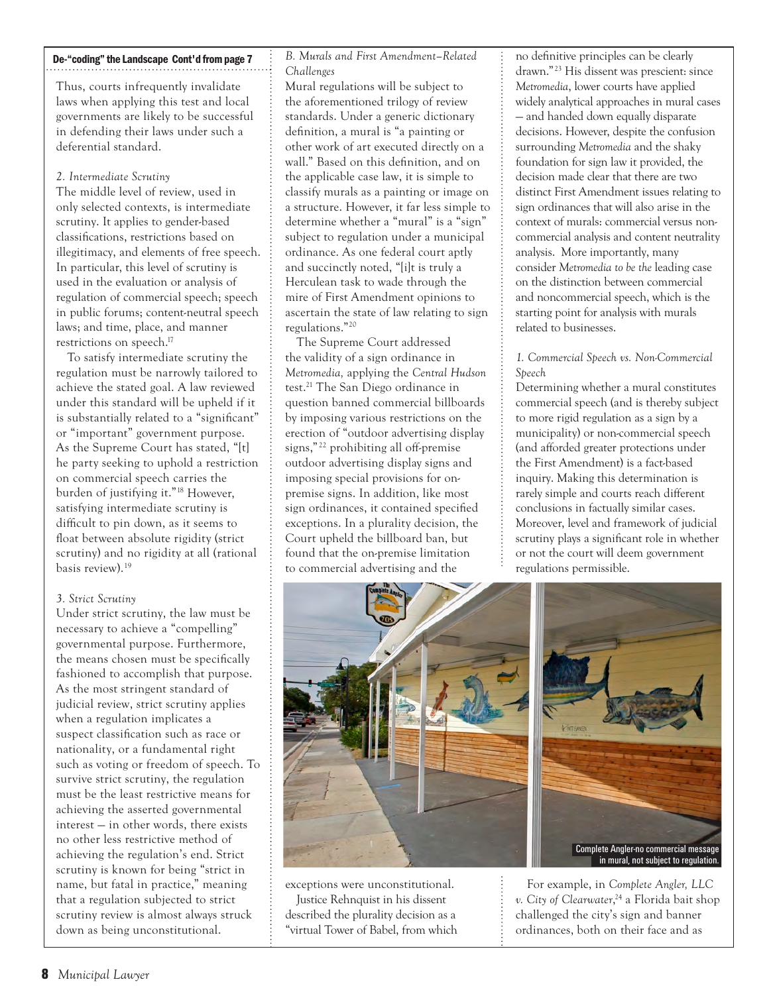#### De-"coding" the Landscape Cont'd from page 7

Thus, courts infrequently invalidate laws when applying this test and local governments are likely to be successful in defending their laws under such a deferential standard.

#### *2. Intermediate Scrutiny*

The middle level of review, used in only selected contexts, is intermediate scrutiny. It applies to gender-based classifications, restrictions based on illegitimacy, and elements of free speech. In particular, this level of scrutiny is used in the evaluation or analysis of regulation of commercial speech; speech in public forums; content-neutral speech laws; and time, place, and manner restrictions on speech.<sup>17</sup>

To satisfy intermediate scrutiny the regulation must be narrowly tailored to achieve the stated goal. A law reviewed under this standard will be upheld if it is substantially related to a "significant" or "important" government purpose. As the Supreme Court has stated, "[t] he party seeking to uphold a restriction on commercial speech carries the burden of justifying it." 18 However, satisfying intermediate scrutiny is difficult to pin down, as it seems to float between absolute rigidity (strict scrutiny) and no rigidity at all (rational basis review). 19

#### *3. Strict Scrutiny*

Under strict scrutiny, the law must be necessary to achieve a "compelling" governmental purpose. Furthermore, the means chosen must be specifically fashioned to accomplish that purpose. As the most stringent standard of judicial review, strict scrutiny applies when a regulation implicates a suspect classification such as race or nationality, or a fundamental right such as voting or freedom of speech. To survive strict scrutiny, the regulation must be the least restrictive means for achieving the asserted governmental interest — in other words, there exists no other less restrictive method of achieving the regulation's end. Strict scrutiny is known for being "strict in name, but fatal in practice," meaning that a regulation subjected to strict scrutiny review is almost always struck down as being unconstitutional.

*B. Murals and First Amendment–Related Challenges*

Mural regulations will be subject to the aforementioned trilogy of review standards. Under a generic dictionary definition, a mural is "a painting or other work of art executed directly on a wall." Based on this definition, and on the applicable case law, it is simple to classify murals as a painting or image on a structure. However, it far less simple to determine whether a "mural" is a "sign" subject to regulation under a municipal ordinance. As one federal court aptly and succinctly noted, "[i]t is truly a Herculean task to wade through the mire of First Amendment opinions to ascertain the state of law relating to sign regulations." 20

The Supreme Court addressed the validity of a sign ordinance in *Metromedia,* applying the *Central Hudson*  test. 21 The San Diego ordinance in question banned commercial billboards by imposing various restrictions on the erection of "outdoor advertising display signs," 22 prohibiting all off-premise outdoor advertising display signs and imposing special provisions for onpremise signs. In addition, like most sign ordinances, it contained specified exceptions. In a plurality decision, the Court upheld the billboard ban, but found that the on-premise limitation to commercial advertising and the

no definitive principles can be clearly drawn." 23 His dissent was prescient: since *Metromedia*, lower courts have applied widely analytical approaches in mural cases — and handed down equally disparate decisions. However, despite the confusion surrounding *Metromedia* and the shaky foundation for sign law it provided, the decision made clear that there are two distinct First Amendment issues relating to sign ordinances that will also arise in the context of murals: commercial versus noncommercial analysis and content neutrality analysis. More importantly, many consider *Metromedia to be the* leading case on the distinction between commercial and noncommercial speech, which is the starting point for analysis with murals related to businesses.

#### *1. Commercial Speech vs. Non-Commercial Speech*

Determining whether a mural constitutes commercial speech (and is thereby subject to more rigid regulation as a sign by a municipality) or non-commercial speech (and afforded greater protections under the First Amendment) is a fact-based inquiry. Making this determination is rarely simple and courts reach different conclusions in factually similar cases. Moreover, level and framework of judicial scrutiny plays a significant role in whether or not the court will deem government regulations permissible.



exceptions were unconstitutional. Justice Rehnquist in his dissent described the plurality decision as a "virtual Tower of Babel, from which

For example, in *Complete Angler, LLC*  v. City of Clearwater,<sup>24</sup> a Florida bait shop challenged the city's sign and banner ordinances, both on their face and as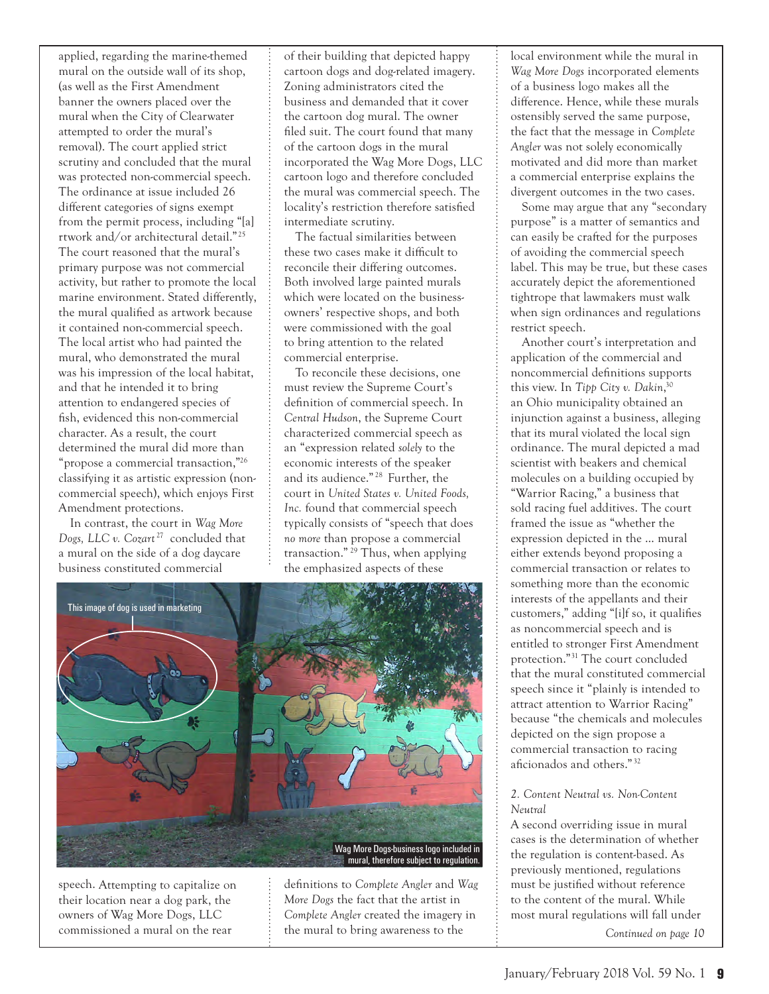applied, regarding the marine-themed mural on the outside wall of its shop, (as well as the First Amendment banner the owners placed over the mural when the City of Clearwater attempted to order the mural's removal). The court applied strict scrutiny and concluded that the mural was protected non-commercial speech. The ordinance at issue included 26 different categories of signs exempt from the permit process, including "[a] rtwork and/or architectural detail." 25 The court reasoned that the mural's primary purpose was not commercial activity, but rather to promote the local marine environment. Stated differently, the mural qualified as artwork because it contained non-commercial speech. The local artist who had painted the mural, who demonstrated the mural was his impression of the local habitat, and that he intended it to bring attention to endangered species of fish, evidenced this non-commercial character. As a result, the court determined the mural did more than "propose a commercial transaction,"<sup>26</sup> classifying it as artistic expression (noncommercial speech), which enjoys First Amendment protections.

In contrast, the court in *Wag More Dogs, LLC v. Cozart* 27 concluded that a mural on the side of a dog daycare business constituted commercial

of their building that depicted happy cartoon dogs and dog-related imagery. Zoning administrators cited the business and demanded that it cover the cartoon dog mural. The owner filed suit. The court found that many of the cartoon dogs in the mural incorporated the Wag More Dogs, LLC cartoon logo and therefore concluded the mural was commercial speech. The locality's restriction therefore satisfied intermediate scrutiny.

The factual similarities between these two cases make it difficult to reconcile their differing outcomes. Both involved large painted murals which were located on the businessowners' respective shops, and both were commissioned with the goal to bring attention to the related commercial enterprise.

To reconcile these decisions, one must review the Supreme Court's definition of commercial speech. In *Central Hudson*, the Supreme Court characterized commercial speech as an "expression related *solely* to the economic interests of the speaker and its audience." 28 Further, the court in *United States v. United Foods, Inc.* found that commercial speech typically consists of "speech that does *no more* than propose a commercial transaction." 29 Thus, when applying the emphasized aspects of these



speech. Attempting to capitalize on their location near a dog park, the owners of Wag More Dogs, LLC commissioned a mural on the rear

definitions to *Complete Angler* and *Wag More Dogs* the fact that the artist in *Complete Angler* created the imagery in the mural to bring awareness to the

local environment while the mural in *Wag More Dogs* incorporated elements of a business logo makes all the difference. Hence, while these murals ostensibly served the same purpose, the fact that the message in *Complete Angler* was not solely economically motivated and did more than market a commercial enterprise explains the divergent outcomes in the two cases.

Some may argue that any "secondary purpose" is a matter of semantics and can easily be crafted for the purposes of avoiding the commercial speech label. This may be true, but these cases accurately depict the aforementioned tightrope that lawmakers must walk when sign ordinances and regulations restrict speech.

Another court's interpretation and application of the commercial and noncommercial definitions supports this view. In Tipp City v. Dakin,<sup>30</sup> an Ohio municipality obtained an injunction against a business, alleging that its mural violated the local sign ordinance. The mural depicted a mad scientist with beakers and chemical molecules on a building occupied by "Warrior Racing," a business that sold racing fuel additives. The court framed the issue as "whether the expression depicted in the … mural either extends beyond proposing a commercial transaction or relates to something more than the economic interests of the appellants and their customers," adding "[i]f so, it qualifies as noncommercial speech and is entitled to stronger First Amendment protection." 31 The court concluded that the mural constituted commercial speech since it "plainly is intended to attract attention to Warrior Racing" because "the chemicals and molecules depicted on the sign propose a commercial transaction to racing aficionados and others."32

#### *2. Content Neutral vs. Non-Content Neutral*

A second overriding issue in mural cases is the determination of whether the regulation is content-based. As previously mentioned, regulations must be justified without reference to the content of the mural. While most mural regulations will fall under

*Continued on page 10*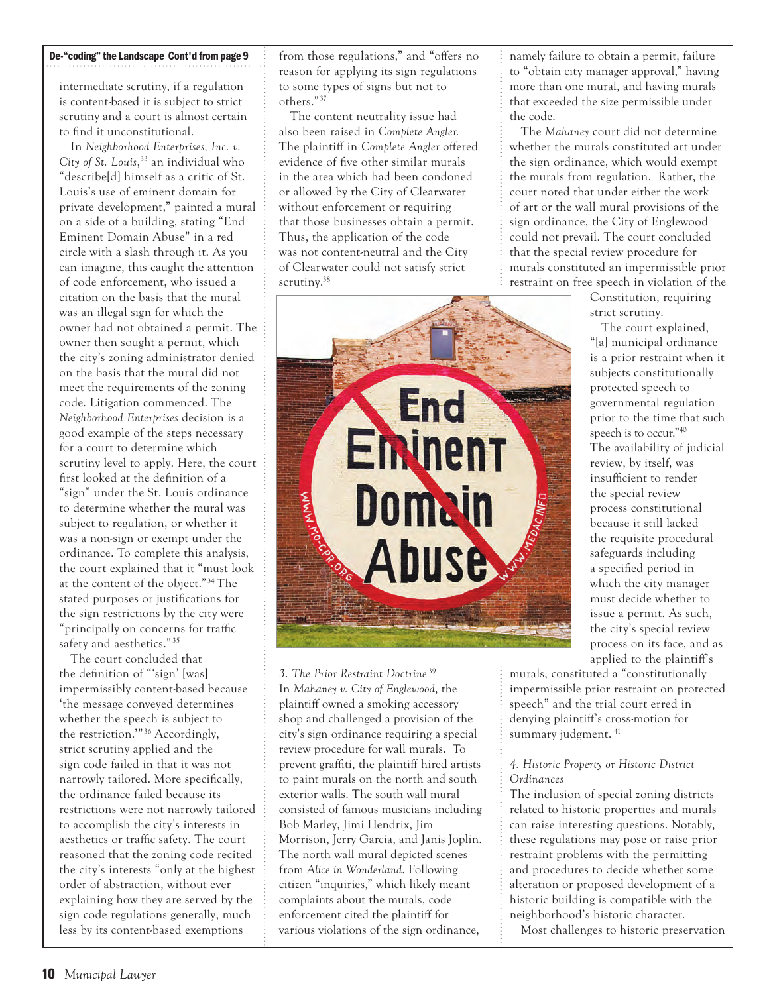## De-"coding" the Landscape Cont'd from page 9

intermediate scrutiny, if a regulation is content-based it is subject to strict scrutiny and a court is almost certain to find it unconstitutional.

In *Neighborhood Enterprises, Inc. v. City of St. Louis*, 33 an individual who "describe[d] himself as a critic of St. Louis's use of eminent domain for private development," painted a mural on a side of a building, stating "End Eminent Domain Abuse" in a red circle with a slash through it. As you can imagine, this caught the attention of code enforcement, who issued a citation on the basis that the mural was an illegal sign for which the owner had not obtained a permit. The owner then sought a permit, which the city's zoning administrator denied on the basis that the mural did not meet the requirements of the zoning code. Litigation commenced. The *Neighborhood Enterprises* decision is a good example of the steps necessary for a court to determine which scrutiny level to apply. Here, the court first looked at the definition of a "sign" under the St. Louis ordinance to determine whether the mural was subject to regulation, or whether it was a non-sign or exempt under the ordinance. To complete this analysis, the court explained that it "must look at the content of the object." 34 The stated purposes or justifications for the sign restrictions by the city were "principally on concerns for traffic safety and aesthetics." 35

The court concluded that the definition of "'sign' [was] impermissibly content-based because 'the message conveyed determines whether the speech is subject to the restriction."<sup>36</sup> Accordingly, strict scrutiny applied and the sign code failed in that it was not narrowly tailored. More specifically, the ordinance failed because its restrictions were not narrowly tailored to accomplish the city's interests in aesthetics or traffic safety. The court reasoned that the zoning code recited the city's interests "only at the highest order of abstraction, without ever explaining how they are served by the sign code regulations generally, much less by its content-based exemptions

from those regulations," and "offers no reason for applying its sign regulations to some types of signs but not to others." 37

The content neutrality issue had also been raised in *Complete Angler.* The plaintiff in *Complete Angler* offered evidence of five other similar murals in the area which had been condoned or allowed by the City of Clearwater without enforcement or requiring that those businesses obtain a permit. Thus, the application of the code was not content-neutral and the City of Clearwater could not satisfy strict scrutiny.<sup>38</sup>



*3. The Prior Restraint Doctrine* <sup>39</sup> In *Mahaney v. City of Englewood*, the plaintiff owned a smoking accessory shop and challenged a provision of the city's sign ordinance requiring a special review procedure for wall murals. To prevent graffiti, the plaintiff hired artists to paint murals on the north and south exterior walls. The south wall mural consisted of famous musicians including Bob Marley, Jimi Hendrix, Jim Morrison, Jerry Garcia, and Janis Joplin. The north wall mural depicted scenes from *Alice in Wonderland*. Following citizen "inquiries," which likely meant complaints about the murals, code enforcement cited the plaintiff for various violations of the sign ordinance,

namely failure to obtain a permit, failure to "obtain city manager approval," having more than one mural, and having murals that exceeded the size permissible under the code.

The *Mahaney* court did not determine whether the murals constituted art under the sign ordinance, which would exempt the murals from regulation. Rather, the court noted that under either the work of art or the wall mural provisions of the sign ordinance, the City of Englewood could not prevail. The court concluded that the special review procedure for murals constituted an impermissible prior restraint on free speech in violation of the

> Constitution, requiring strict scrutiny.

The court explained, "[a] municipal ordinance is a prior restraint when it subjects constitutionally protected speech to governmental regulation prior to the time that such speech is to occur."40 The availability of judicial review, by itself, was insufficient to render the special review process constitutional because it still lacked the requisite procedural safeguards including a specified period in which the city manager must decide whether to issue a permit. As such, the city's special review process on its face, and as applied to the plaintiff's

murals, constituted a "constitutionally impermissible prior restraint on protected speech" and the trial court erred in denying plaintiff's cross-motion for summary judgment.<sup>41</sup>

#### *4. Historic Property or Historic District Ordinances*

The inclusion of special zoning districts related to historic properties and murals can raise interesting questions. Notably, these regulations may pose or raise prior restraint problems with the permitting and procedures to decide whether some alteration or proposed development of a historic building is compatible with the neighborhood's historic character.

Most challenges to historic preservation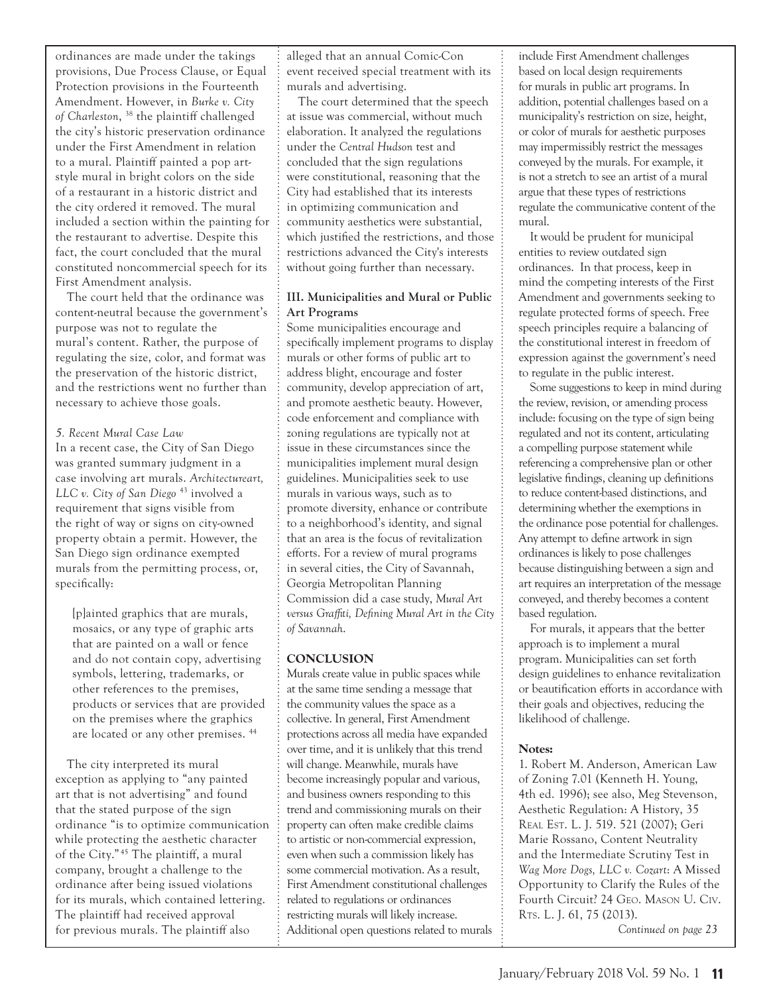ordinances are made under the takings provisions, Due Process Clause, or Equal Protection provisions in the Fourteenth Amendment. However, in *Burke v. City of Charleston*, 38 the plaintiff challenged the city's historic preservation ordinance under the First Amendment in relation to a mural. Plaintiff painted a pop artstyle mural in bright colors on the side of a restaurant in a historic district and the city ordered it removed. The mural included a section within the painting for the restaurant to advertise. Despite this fact, the court concluded that the mural constituted noncommercial speech for its First Amendment analysis.

The court held that the ordinance was content-neutral because the government's purpose was not to regulate the mural's content. Rather, the purpose of regulating the size, color, and format was the preservation of the historic district, and the restrictions went no further than necessary to achieve those goals.

#### *5. Recent Mural Case Law*

In a recent case, the City of San Diego was granted summary judgment in a case involving art murals. *Architectureart, LLC v. City of San Diego* 43 involved a requirement that signs visible from the right of way or signs on city-owned property obtain a permit. However, the San Diego sign ordinance exempted murals from the permitting process, or, specifically:

[p]ainted graphics that are murals, mosaics, or any type of graphic arts that are painted on a wall or fence and do not contain copy, advertising symbols, lettering, trademarks, or other references to the premises, products or services that are provided on the premises where the graphics are located or any other premises. 44

The city interpreted its mural exception as applying to "any painted art that is not advertising" and found that the stated purpose of the sign ordinance "is to optimize communication while protecting the aesthetic character of the City." 45 The plaintiff, a mural company, brought a challenge to the ordinance after being issued violations for its murals, which contained lettering. The plaintiff had received approval for previous murals. The plaintiff also

alleged that an annual Comic-Con event received special treatment with its murals and advertising.

The court determined that the speech at issue was commercial, without much elaboration. It analyzed the regulations under the *Central Hudson* test and concluded that the sign regulations were constitutional, reasoning that the City had established that its interests in optimizing communication and community aesthetics were substantial, which justified the restrictions, and those restrictions advanced the City's interests without going further than necessary.

# **III. Municipalities and Mural or Public Art Programs**

Some municipalities encourage and specifically implement programs to display murals or other forms of public art to address blight, encourage and foster community, develop appreciation of art, and promote aesthetic beauty. However, code enforcement and compliance with zoning regulations are typically not at issue in these circumstances since the municipalities implement mural design guidelines. Municipalities seek to use murals in various ways, such as to promote diversity, enhance or contribute to a neighborhood's identity, and signal that an area is the focus of revitalization efforts. For a review of mural programs in several cities, the City of Savannah, Georgia Metropolitan Planning Commission did a case study, *Mural Art versus Graffiti, Defining Mural Art in the City of Savannah*.

# **CONCLUSION**

Murals create value in public spaces while at the same time sending a message that the community values the space as a collective. In general, First Amendment protections across all media have expanded over time, and it is unlikely that this trend will change. Meanwhile, murals have become increasingly popular and various, and business owners responding to this trend and commissioning murals on their property can often make credible claims to artistic or non-commercial expression, even when such a commission likely has some commercial motivation. As a result, First Amendment constitutional challenges related to regulations or ordinances restricting murals will likely increase. Additional open questions related to murals

include First Amendment challenges based on local design requirements for murals in public art programs. In addition, potential challenges based on a municipality's restriction on size, height, or color of murals for aesthetic purposes may impermissibly restrict the messages conveyed by the murals. For example, it is not a stretch to see an artist of a mural argue that these types of restrictions regulate the communicative content of the mural.

It would be prudent for municipal entities to review outdated sign ordinances. In that process, keep in mind the competing interests of the First Amendment and governments seeking to regulate protected forms of speech. Free speech principles require a balancing of the constitutional interest in freedom of expression against the government's need to regulate in the public interest.

Some suggestions to keep in mind during the review, revision, or amending process include: focusing on the type of sign being regulated and not its content, articulating a compelling purpose statement while referencing a comprehensive plan or other legislative findings, cleaning up definitions to reduce content-based distinctions, and determining whether the exemptions in the ordinance pose potential for challenges. Any attempt to define artwork in sign ordinances is likely to pose challenges because distinguishing between a sign and art requires an interpretation of the message conveyed, and thereby becomes a content based regulation.

For murals, it appears that the better approach is to implement a mural program. Municipalities can set forth design guidelines to enhance revitalization or beautification efforts in accordance with their goals and objectives, reducing the likelihood of challenge.

# **Notes:**

1. Robert M. Anderson, American Law of Zoning 7.01 (Kenneth H. Young, 4th ed. 1996); see also, Meg Stevenson, Aesthetic Regulation: A History, 35 Real Est. L. J. 519. 521 (2007); Geri Marie Rossano, Content Neutrality and the Intermediate Scrutiny Test in *Wag More Dogs, LLC v. Cozart*: A Missed Opportunity to Clarify the Rules of the Fourth Circuit? 24 Geo. Mason U. Civ. Rts. L. J. 61, 75 (2013).

*Continued on page 23*